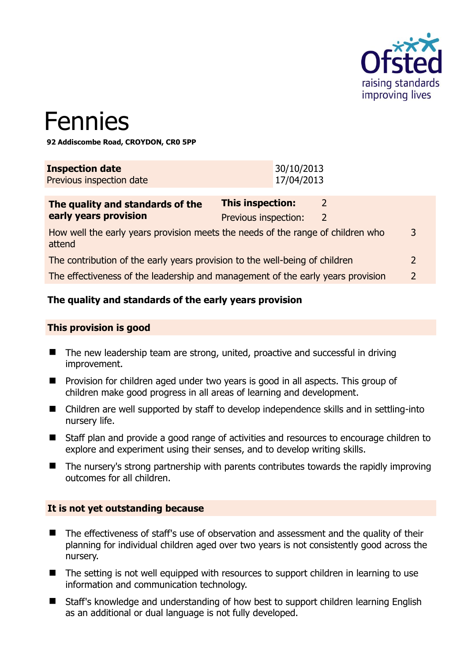

# Fennies

**92 Addiscombe Road, CROYDON, CR0 5PP** 

| <b>Inspection date</b>   | 30/10/2013 |
|--------------------------|------------|
| Previous inspection date | 17/04/2013 |

| The quality and standards of the                                                          | <b>This inspection:</b> |   |               |
|-------------------------------------------------------------------------------------------|-------------------------|---|---------------|
| early years provision                                                                     | Previous inspection:    | 2 |               |
| How well the early years provision meets the needs of the range of children who<br>attend |                         |   | 3             |
| The contribution of the early years provision to the well-being of children               |                         |   |               |
| The effectiveness of the leadership and management of the early years provision           |                         |   | $\mathcal{D}$ |

#### **The quality and standards of the early years provision**

#### **This provision is good**

- The new leadership team are strong, united, proactive and successful in driving improvement.
- **Provision for children aged under two years is good in all aspects. This group of** children make good progress in all areas of learning and development.
- Children are well supported by staff to develop independence skills and in settling-into nursery life.
- Staff plan and provide a good range of activities and resources to encourage children to explore and experiment using their senses, and to develop writing skills.
- The nursery's strong partnership with parents contributes towards the rapidly improving outcomes for all children.

#### **It is not yet outstanding because**

- The effectiveness of staff's use of observation and assessment and the quality of their planning for individual children aged over two years is not consistently good across the nursery.
- The setting is not well equipped with resources to support children in learning to use information and communication technology.
- Staff's knowledge and understanding of how best to support children learning English as an additional or dual language is not fully developed.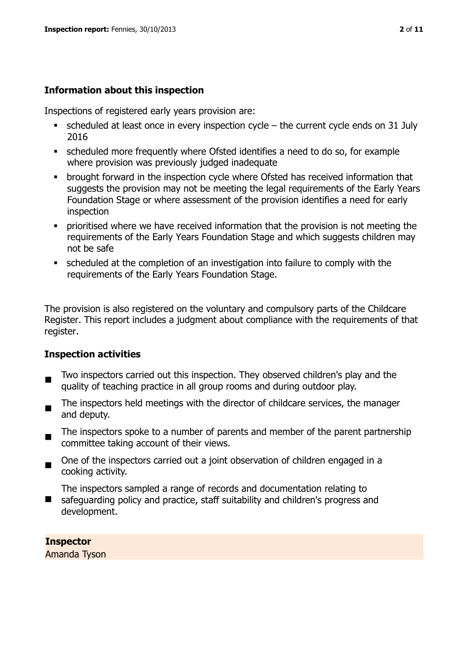#### **Information about this inspection**

Inspections of registered early years provision are:

- $\bullet$  scheduled at least once in every inspection cycle the current cycle ends on 31 July 2016
- scheduled more frequently where Ofsted identifies a need to do so, for example where provision was previously judged inadequate
- **•** brought forward in the inspection cycle where Ofsted has received information that suggests the provision may not be meeting the legal requirements of the Early Years Foundation Stage or where assessment of the provision identifies a need for early inspection
- **•** prioritised where we have received information that the provision is not meeting the requirements of the Early Years Foundation Stage and which suggests children may not be safe
- scheduled at the completion of an investigation into failure to comply with the requirements of the Early Years Foundation Stage.

The provision is also registered on the voluntary and compulsory parts of the Childcare Register. This report includes a judgment about compliance with the requirements of that register.

#### **Inspection activities**

- $\blacksquare$ Two inspectors carried out this inspection. They observed children's play and the quality of teaching practice in all group rooms and during outdoor play.
- The inspectors held meetings with the director of childcare services, the manager and deputy.
- $\blacksquare$ The inspectors spoke to a number of parents and member of the parent partnership committee taking account of their views.
- $\blacksquare$ One of the inspectors carried out a joint observation of children engaged in a cooking activity.

 $\blacksquare$ The inspectors sampled a range of records and documentation relating to safeguarding policy and practice, staff suitability and children's progress and development.

**Inspector**  Amanda Tyson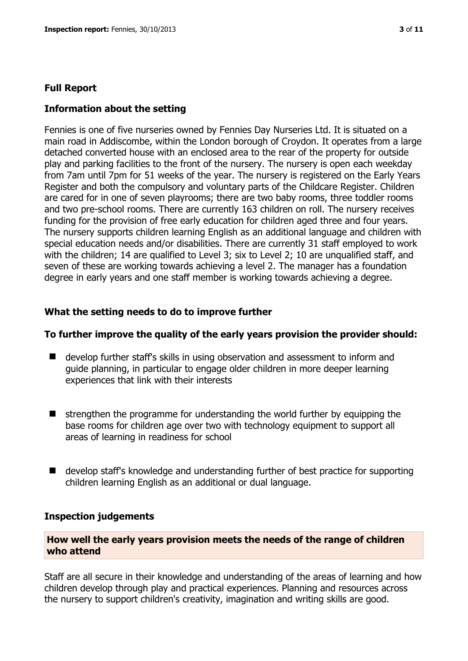#### **Full Report**

#### **Information about the setting**

Fennies is one of five nurseries owned by Fennies Day Nurseries Ltd. It is situated on a main road in Addiscombe, within the London borough of Croydon. It operates from a large detached converted house with an enclosed area to the rear of the property for outside play and parking facilities to the front of the nursery. The nursery is open each weekday from 7am until 7pm for 51 weeks of the year. The nursery is registered on the Early Years Register and both the compulsory and voluntary parts of the Childcare Register. Children are cared for in one of seven playrooms; there are two baby rooms, three toddler rooms and two pre-school rooms. There are currently 163 children on roll. The nursery receives funding for the provision of free early education for children aged three and four years. The nursery supports children learning English as an additional language and children with special education needs and/or disabilities. There are currently 31 staff employed to work with the children; 14 are qualified to Level 3; six to Level 2; 10 are unqualified staff, and seven of these are working towards achieving a level 2. The manager has a foundation degree in early years and one staff member is working towards achieving a degree.

#### **What the setting needs to do to improve further**

#### **To further improve the quality of the early years provision the provider should:**

- develop further staff's skills in using observation and assessment to inform and guide planning, in particular to engage older children in more deeper learning experiences that link with their interests
- $\blacksquare$  strengthen the programme for understanding the world further by equipping the base rooms for children age over two with technology equipment to support all areas of learning in readiness for school
- develop staff's knowledge and understanding further of best practice for supporting children learning English as an additional or dual language.

#### **Inspection judgements**

#### **How well the early years provision meets the needs of the range of children who attend**

Staff are all secure in their knowledge and understanding of the areas of learning and how children develop through play and practical experiences. Planning and resources across the nursery to support children's creativity, imagination and writing skills are good.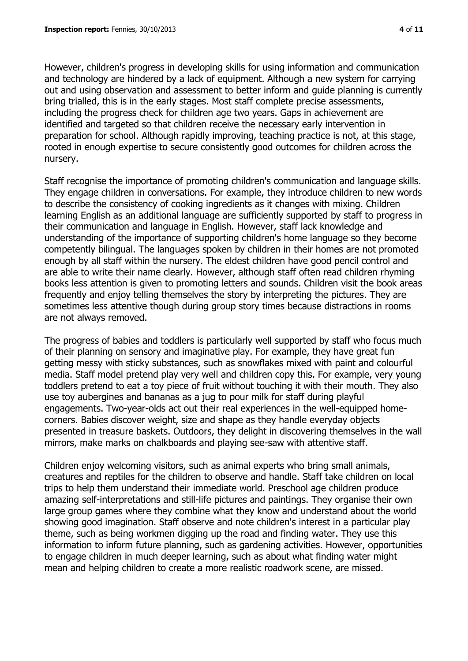However, children's progress in developing skills for using information and communication and technology are hindered by a lack of equipment. Although a new system for carrying out and using observation and assessment to better inform and guide planning is currently bring trialled, this is in the early stages. Most staff complete precise assessments, including the progress check for children age two years. Gaps in achievement are identified and targeted so that children receive the necessary early intervention in preparation for school. Although rapidly improving, teaching practice is not, at this stage, rooted in enough expertise to secure consistently good outcomes for children across the nursery.

Staff recognise the importance of promoting children's communication and language skills. They engage children in conversations. For example, they introduce children to new words to describe the consistency of cooking ingredients as it changes with mixing. Children learning English as an additional language are sufficiently supported by staff to progress in their communication and language in English. However, staff lack knowledge and understanding of the importance of supporting children's home language so they become competently bilingual. The languages spoken by children in their homes are not promoted enough by all staff within the nursery. The eldest children have good pencil control and are able to write their name clearly. However, although staff often read children rhyming books less attention is given to promoting letters and sounds. Children visit the book areas frequently and enjoy telling themselves the story by interpreting the pictures. They are sometimes less attentive though during group story times because distractions in rooms are not always removed.

The progress of babies and toddlers is particularly well supported by staff who focus much of their planning on sensory and imaginative play. For example, they have great fun getting messy with sticky substances, such as snowflakes mixed with paint and colourful media. Staff model pretend play very well and children copy this. For example, very young toddlers pretend to eat a toy piece of fruit without touching it with their mouth. They also use toy aubergines and bananas as a jug to pour milk for staff during playful engagements. Two-year-olds act out their real experiences in the well-equipped homecorners. Babies discover weight, size and shape as they handle everyday objects presented in treasure baskets. Outdoors, they delight in discovering themselves in the wall mirrors, make marks on chalkboards and playing see-saw with attentive staff.

Children enjoy welcoming visitors, such as animal experts who bring small animals, creatures and reptiles for the children to observe and handle. Staff take children on local trips to help them understand their immediate world. Preschool age children produce amazing self-interpretations and still-life pictures and paintings. They organise their own large group games where they combine what they know and understand about the world showing good imagination. Staff observe and note children's interest in a particular play theme, such as being workmen digging up the road and finding water. They use this information to inform future planning, such as gardening activities. However, opportunities to engage children in much deeper learning, such as about what finding water might mean and helping children to create a more realistic roadwork scene, are missed.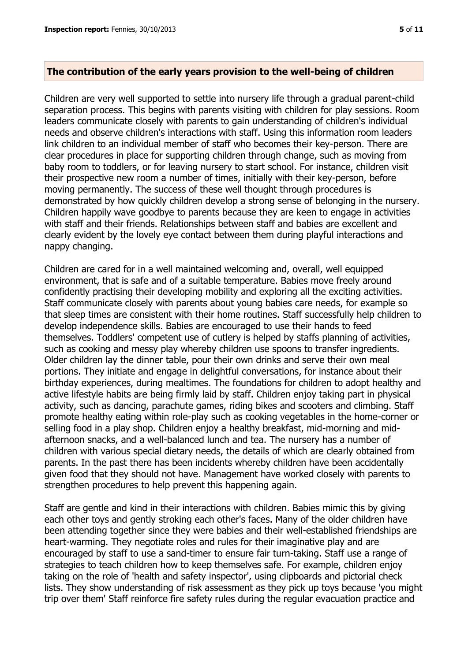#### **The contribution of the early years provision to the well-being of children**

Children are very well supported to settle into nursery life through a gradual parent-child separation process. This begins with parents visiting with children for play sessions. Room leaders communicate closely with parents to gain understanding of children's individual needs and observe children's interactions with staff. Using this information room leaders link children to an individual member of staff who becomes their key-person. There are clear procedures in place for supporting children through change, such as moving from baby room to toddlers, or for leaving nursery to start school. For instance, children visit their prospective new room a number of times, initially with their key-person, before moving permanently. The success of these well thought through procedures is demonstrated by how quickly children develop a strong sense of belonging in the nursery. Children happily wave goodbye to parents because they are keen to engage in activities with staff and their friends. Relationships between staff and babies are excellent and clearly evident by the lovely eye contact between them during playful interactions and nappy changing.

Children are cared for in a well maintained welcoming and, overall, well equipped environment, that is safe and of a suitable temperature. Babies move freely around confidently practising their developing mobility and exploring all the exciting activities. Staff communicate closely with parents about young babies care needs, for example so that sleep times are consistent with their home routines. Staff successfully help children to develop independence skills. Babies are encouraged to use their hands to feed themselves. Toddlers' competent use of cutlery is helped by staffs planning of activities, such as cooking and messy play whereby children use spoons to transfer ingredients. Older children lay the dinner table, pour their own drinks and serve their own meal portions. They initiate and engage in delightful conversations, for instance about their birthday experiences, during mealtimes. The foundations for children to adopt healthy and active lifestyle habits are being firmly laid by staff. Children enjoy taking part in physical activity, such as dancing, parachute games, riding bikes and scooters and climbing. Staff promote healthy eating within role-play such as cooking vegetables in the home-corner or selling food in a play shop. Children enjoy a healthy breakfast, mid-morning and midafternoon snacks, and a well-balanced lunch and tea. The nursery has a number of children with various special dietary needs, the details of which are clearly obtained from parents. In the past there has been incidents whereby children have been accidentally given food that they should not have. Management have worked closely with parents to strengthen procedures to help prevent this happening again.

Staff are gentle and kind in their interactions with children. Babies mimic this by giving each other toys and gently stroking each other's faces. Many of the older children have been attending together since they were babies and their well-established friendships are heart-warming. They negotiate roles and rules for their imaginative play and are encouraged by staff to use a sand-timer to ensure fair turn-taking. Staff use a range of strategies to teach children how to keep themselves safe. For example, children enjoy taking on the role of 'health and safety inspector', using clipboards and pictorial check lists. They show understanding of risk assessment as they pick up toys because 'you might trip over them' Staff reinforce fire safety rules during the regular evacuation practice and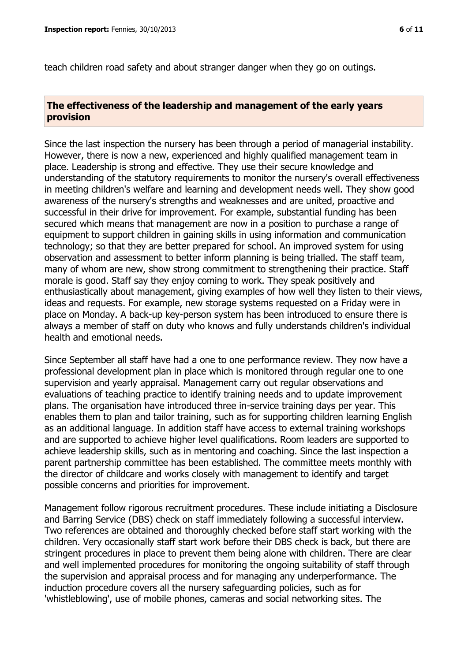teach children road safety and about stranger danger when they go on outings.

#### **The effectiveness of the leadership and management of the early years provision**

Since the last inspection the nursery has been through a period of managerial instability. However, there is now a new, experienced and highly qualified management team in place. Leadership is strong and effective. They use their secure knowledge and understanding of the statutory requirements to monitor the nursery's overall effectiveness in meeting children's welfare and learning and development needs well. They show good awareness of the nursery's strengths and weaknesses and are united, proactive and successful in their drive for improvement. For example, substantial funding has been secured which means that management are now in a position to purchase a range of equipment to support children in gaining skills in using information and communication technology; so that they are better prepared for school. An improved system for using observation and assessment to better inform planning is being trialled. The staff team, many of whom are new, show strong commitment to strengthening their practice. Staff morale is good. Staff say they enjoy coming to work. They speak positively and enthusiastically about management, giving examples of how well they listen to their views, ideas and requests. For example, new storage systems requested on a Friday were in place on Monday. A back-up key-person system has been introduced to ensure there is always a member of staff on duty who knows and fully understands children's individual health and emotional needs.

Since September all staff have had a one to one performance review. They now have a professional development plan in place which is monitored through regular one to one supervision and yearly appraisal. Management carry out regular observations and evaluations of teaching practice to identify training needs and to update improvement plans. The organisation have introduced three in-service training days per year. This enables them to plan and tailor training, such as for supporting children learning English as an additional language. In addition staff have access to external training workshops and are supported to achieve higher level qualifications. Room leaders are supported to achieve leadership skills, such as in mentoring and coaching. Since the last inspection a parent partnership committee has been established. The committee meets monthly with the director of childcare and works closely with management to identify and target possible concerns and priorities for improvement.

Management follow rigorous recruitment procedures. These include initiating a Disclosure and Barring Service (DBS) check on staff immediately following a successful interview. Two references are obtained and thoroughly checked before staff start working with the children. Very occasionally staff start work before their DBS check is back, but there are stringent procedures in place to prevent them being alone with children. There are clear and well implemented procedures for monitoring the ongoing suitability of staff through the supervision and appraisal process and for managing any underperformance. The induction procedure covers all the nursery safeguarding policies, such as for 'whistleblowing', use of mobile phones, cameras and social networking sites. The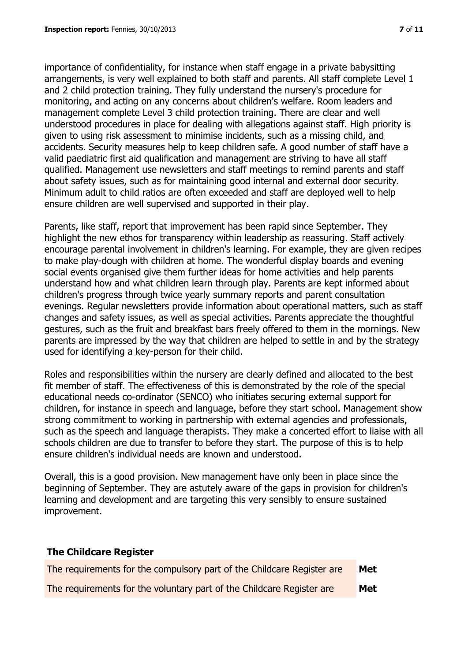importance of confidentiality, for instance when staff engage in a private babysitting arrangements, is very well explained to both staff and parents. All staff complete Level 1 and 2 child protection training. They fully understand the nursery's procedure for monitoring, and acting on any concerns about children's welfare. Room leaders and management complete Level 3 child protection training. There are clear and well understood procedures in place for dealing with allegations against staff. High priority is given to using risk assessment to minimise incidents, such as a missing child, and accidents. Security measures help to keep children safe. A good number of staff have a valid paediatric first aid qualification and management are striving to have all staff qualified. Management use newsletters and staff meetings to remind parents and staff about safety issues, such as for maintaining good internal and external door security. Minimum adult to child ratios are often exceeded and staff are deployed well to help ensure children are well supervised and supported in their play.

Parents, like staff, report that improvement has been rapid since September. They highlight the new ethos for transparency within leadership as reassuring. Staff actively encourage parental involvement in children's learning. For example, they are given recipes to make play-dough with children at home. The wonderful display boards and evening social events organised give them further ideas for home activities and help parents understand how and what children learn through play. Parents are kept informed about children's progress through twice yearly summary reports and parent consultation evenings. Regular newsletters provide information about operational matters, such as staff changes and safety issues, as well as special activities. Parents appreciate the thoughtful gestures, such as the fruit and breakfast bars freely offered to them in the mornings. New parents are impressed by the way that children are helped to settle in and by the strategy used for identifying a key-person for their child.

Roles and responsibilities within the nursery are clearly defined and allocated to the best fit member of staff. The effectiveness of this is demonstrated by the role of the special educational needs co-ordinator (SENCO) who initiates securing external support for children, for instance in speech and language, before they start school. Management show strong commitment to working in partnership with external agencies and professionals, such as the speech and language therapists. They make a concerted effort to liaise with all schools children are due to transfer to before they start. The purpose of this is to help ensure children's individual needs are known and understood.

Overall, this is a good provision. New management have only been in place since the beginning of September. They are astutely aware of the gaps in provision for children's learning and development and are targeting this very sensibly to ensure sustained improvement.

## **The Childcare Register** The requirements for the compulsory part of the Childcare Register are **Met** The requirements for the voluntary part of the Childcare Register are **Met**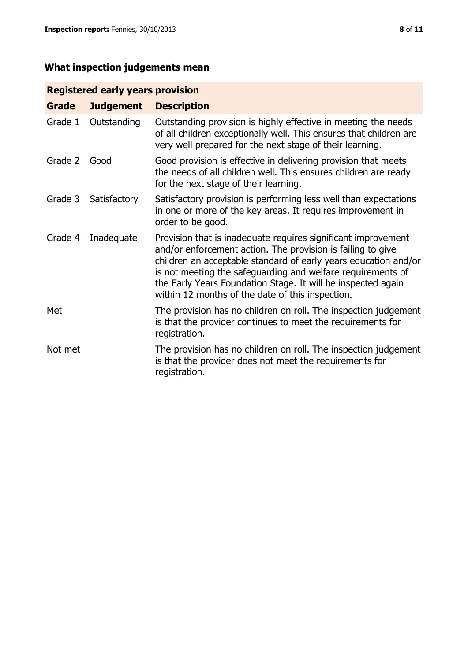### **What inspection judgements mean**

#### **Registered early years provision**

| <b>Grade</b> | <b>Judgement</b> | <b>Description</b>                                                                                                                                                                                                                                                                                                                                                                 |
|--------------|------------------|------------------------------------------------------------------------------------------------------------------------------------------------------------------------------------------------------------------------------------------------------------------------------------------------------------------------------------------------------------------------------------|
| Grade 1      | Outstanding      | Outstanding provision is highly effective in meeting the needs<br>of all children exceptionally well. This ensures that children are<br>very well prepared for the next stage of their learning.                                                                                                                                                                                   |
| Grade 2      | Good             | Good provision is effective in delivering provision that meets<br>the needs of all children well. This ensures children are ready<br>for the next stage of their learning.                                                                                                                                                                                                         |
| Grade 3      | Satisfactory     | Satisfactory provision is performing less well than expectations<br>in one or more of the key areas. It requires improvement in<br>order to be good.                                                                                                                                                                                                                               |
| Grade 4      | Inadequate       | Provision that is inadequate requires significant improvement<br>and/or enforcement action. The provision is failing to give<br>children an acceptable standard of early years education and/or<br>is not meeting the safeguarding and welfare requirements of<br>the Early Years Foundation Stage. It will be inspected again<br>within 12 months of the date of this inspection. |
| Met          |                  | The provision has no children on roll. The inspection judgement<br>is that the provider continues to meet the requirements for<br>registration.                                                                                                                                                                                                                                    |
| Not met      |                  | The provision has no children on roll. The inspection judgement<br>is that the provider does not meet the requirements for<br>registration.                                                                                                                                                                                                                                        |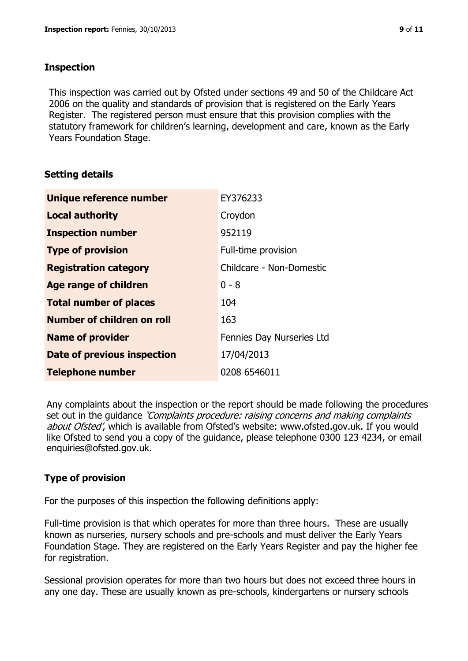#### **Inspection**

This inspection was carried out by Ofsted under sections 49 and 50 of the Childcare Act 2006 on the quality and standards of provision that is registered on the Early Years Register. The registered person must ensure that this provision complies with the statutory framework for children's learning, development and care, known as the Early Years Foundation Stage.

#### **Setting details**

| <b>Unique reference number</b> | EY376233                  |
|--------------------------------|---------------------------|
| <b>Local authority</b>         | Croydon                   |
| <b>Inspection number</b>       | 952119                    |
| <b>Type of provision</b>       | Full-time provision       |
| <b>Registration category</b>   | Childcare - Non-Domestic  |
| <b>Age range of children</b>   | $0 - 8$                   |
| <b>Total number of places</b>  | 104                       |
| Number of children on roll     | 163                       |
| <b>Name of provider</b>        | Fennies Day Nurseries Ltd |
| Date of previous inspection    | 17/04/2013                |
| <b>Telephone number</b>        | 0208 6546011              |

Any complaints about the inspection or the report should be made following the procedures set out in the guidance *'Complaints procedure: raising concerns and making complaints* about Ofsted', which is available from Ofsted's website: www.ofsted.gov.uk. If you would like Ofsted to send you a copy of the guidance, please telephone 0300 123 4234, or email enquiries@ofsted.gov.uk.

#### **Type of provision**

For the purposes of this inspection the following definitions apply:

Full-time provision is that which operates for more than three hours. These are usually known as nurseries, nursery schools and pre-schools and must deliver the Early Years Foundation Stage. They are registered on the Early Years Register and pay the higher fee for registration.

Sessional provision operates for more than two hours but does not exceed three hours in any one day. These are usually known as pre-schools, kindergartens or nursery schools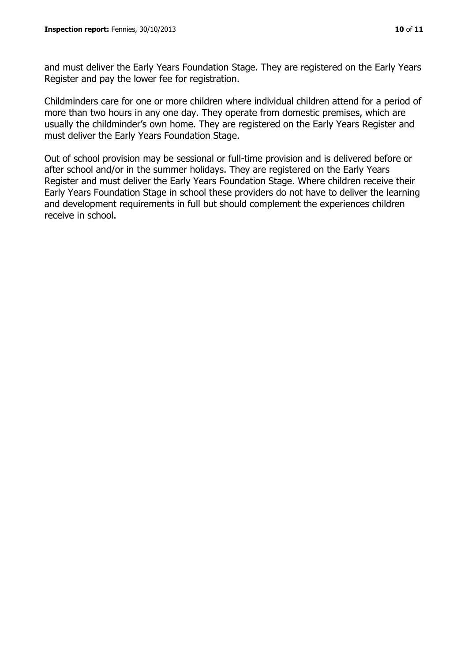and must deliver the Early Years Foundation Stage. They are registered on the Early Years Register and pay the lower fee for registration.

Childminders care for one or more children where individual children attend for a period of more than two hours in any one day. They operate from domestic premises, which are usually the childminder's own home. They are registered on the Early Years Register and must deliver the Early Years Foundation Stage.

Out of school provision may be sessional or full-time provision and is delivered before or after school and/or in the summer holidays. They are registered on the Early Years Register and must deliver the Early Years Foundation Stage. Where children receive their Early Years Foundation Stage in school these providers do not have to deliver the learning and development requirements in full but should complement the experiences children receive in school.